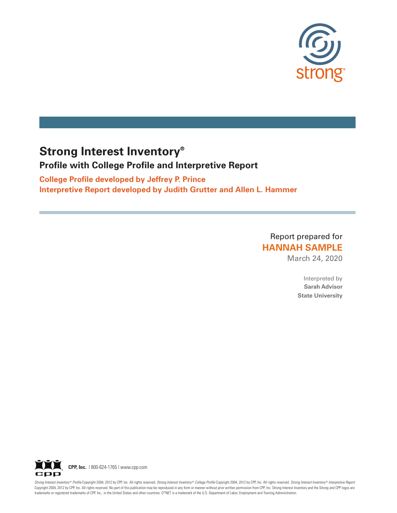

# **Strong Interest Inventory®**

# **Profile with College Profile and Interpretive Report**

**College Profile developed by Jeffrey P. Prince Interpretive Report developed by Judith Grutter and Allen L. Hammer**

> Report prepared for **HANNAH SAMPLE**

> > March 24, 2020

Interpreted by **Sarah Advisor State University**



Strong Interest Inventory® Profile Copyright 2004, 2012 by CPP, Inc. All rights reserved. Strong Interest Inventory® College Profile Copyright 2004, 2012 by CPP, Inc. All rights reserved. Strong Interest Inventory® Interpr Copyright 2004, 2012 by CPP, Inc. All rights reserved. No part of this publication may be reproduced in any form or manner without prior written permission from CPP, Inc. Strong Interest Inventory and the Strong and CPP lo trademarks or registered trademarks of CPP, Inc., in the United States and other countries. O\*NET is a trademark of the U.S. Department of Labor, Employment and Training Administration.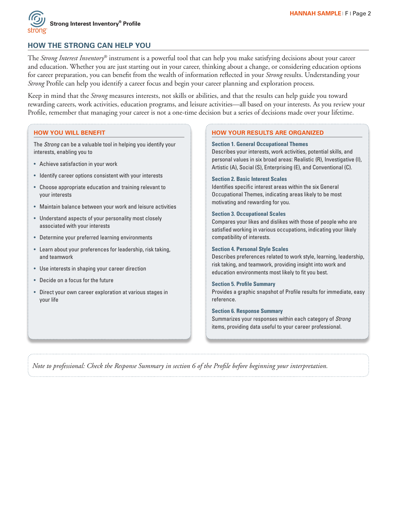

# **HOW THE STRONG CAN HELP YOU**

The *Strong Interest Inventory*® instrument is a powerful tool that can help you make satisfying decisions about your career and education. Whether you are just starting out in your career, thinking about a change, or considering education options for career preparation, you can benefit from the wealth of information reflected in your *Strong* results. Understanding your *Strong* Profile can help you identify a career focus and begin your career planning and exploration process.

Keep in mind that the *Strong* measures interests, not skills or abilities, and that the results can help guide you toward rewarding careers, work activities, education programs, and leisure activities—all based on your interests. As you review your Profile, remember that managing your career is not a one-time decision but a series of decisions made over your lifetime.

# **HOW YOU WILL BENEFIT**

The *Strong* can be a valuable tool in helping you identify your interests, enabling you to

- Achieve satisfaction in your work
- Identify career options consistent with your interests
- Choose appropriate education and training relevant to your interests
- Maintain balance between your work and leisure activities
- Understand aspects of your personality most closely associated with your interests
- Determine your preferred learning environments
- Learn about your preferences for leadership, risk taking, and teamwork
- Use interests in shaping your career direction
- Decide on a focus for the future
- Direct your own career exploration at various stages in your life

### **HOW YOUR RESULTS ARE ORGANIZED**

#### **Section 1. General Occupational Themes**

Describes your interests, work activities, potential skills, and personal values in six broad areas: Realistic (R), Investigative (I), Artistic (A), Social (S), Enterprising (E), and Conventional (C).

#### **Section 2. Basic Interest Scales**

Identifies specific interest areas within the six General Occupational Themes, indicating areas likely to be most motivating and rewarding for you.

#### **Section 3. Occupational Scales**

Compares your likes and dislikes with those of people who are satisfied working in various occupations, indicating your likely compatibility of interests.

#### **Section 4. Personal Style Scales**

Describes preferences related to work style, learning, leadership, risk taking, and teamwork, providing insight into work and education environments most likely to fit you best.

#### **Section 5. Profile Summary**

Provides a graphic snapshot of Profile results for immediate, easy reference.

#### **Section 6. Response Summary**

Summarizes your responses within each category of *Strong* items, providing data useful to your career professional.

*Note to professional: Check the Response Summary in section 6 of the Profile before beginning your interpretation.*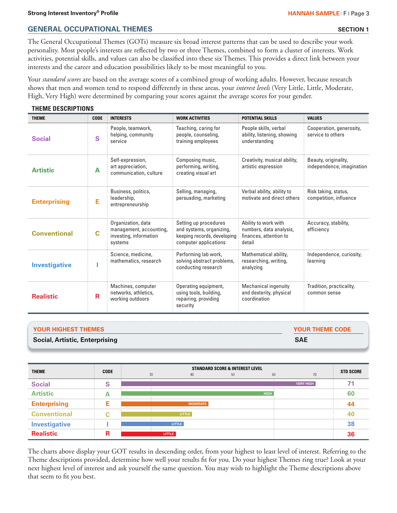# **GENERAL OCCUPATIONAL THEMES SECTION 1**

The General Occupational Themes (GOTs) measure six broad interest patterns that can be used to describe your work personality. Most people's interests are reflected by two or three Themes, combined to form a cluster of interests. Work activities, potential skills, and values can also be classified into these six Themes. This provides a direct link between your interests and the career and education possibilities likely to be most meaningful to you.

Your *standard scores* are based on the average scores of a combined group of working adults. However, because research shows that men and women tend to respond differently in these areas, your *interest levels* (Very Little, Little, Moderate, High, Very High) were determined by comparing your scores against the average scores for your gender.

# **THEME DESCRIPTIONS**

| <b>THEME</b>         | <b>CODE</b> | <b>INTERESTS</b>                                                                   | <b>WORK ACTIVITIES</b>                                                                                    | <b>POTENTIAL SKILLS</b>                                                             | <b>VALUES</b>                                     |
|----------------------|-------------|------------------------------------------------------------------------------------|-----------------------------------------------------------------------------------------------------------|-------------------------------------------------------------------------------------|---------------------------------------------------|
| <b>Social</b>        | S           | People, teamwork,<br>helping, community<br>service                                 | Teaching, caring for<br>people, counseling,<br>training employees                                         | People skills, verbal<br>ability, listening, showing<br>understanding               | Cooperation, generosity,<br>service to others     |
| <b>Artistic</b>      | A           | Self-expression,<br>art appreciation,<br>communication, culture                    | Composing music,<br>performing, writing,<br>creating visual art                                           | Creativity, musical ability,<br>artistic expression                                 | Beauty, originality,<br>independence, imagination |
| <b>Enterprising</b>  | E           | Business, politics,<br>leadership,<br>entrepreneurship                             | Selling, managing,<br>persuading, marketing                                                               | Verbal ability, ability to<br>motivate and direct others                            | Risk taking, status,<br>competition, influence    |
| <b>Conventional</b>  | Ć           | Organization, data<br>management, accounting,<br>investing, information<br>systems | Setting up procedures<br>and systems, organizing,<br>keeping records, developing<br>computer applications | Ability to work with<br>numbers, data analysis,<br>finances, attention to<br>detail | Accuracy, stability,<br>efficiency                |
| <b>Investigative</b> |             | Science, medicine,<br>mathematics, research                                        | Performing lab work,<br>solving abstract problems,<br>conducting research                                 | Mathematical ability,<br>researching, writing,<br>analyzing                         | Independence, curiosity,<br>learning              |
| <b>Realistic</b>     | R           | Machines, computer<br>networks, athletics,<br>working outdoors                     | Operating equipment,<br>using tools, building,<br>repairing, providing<br>security                        | Mechanical ingenuity<br>and dexterity, physical<br>coordination                     | Tradition, practicality,<br>common sense          |

| <b>Social, Artistic, Enterprising</b> | <b>SAE</b>             |
|---------------------------------------|------------------------|
| <b>YOUR HIGHEST THEMES</b>            | <b>YOUR THEME CODE</b> |
|                                       |                        |

| <b>THEME</b>         | <b>CODE</b> |               |                 | <b>STANDARD SCORE &amp; INTEREST LEVEL</b> |             |                  | <b>STD SCORE</b> |
|----------------------|-------------|---------------|-----------------|--------------------------------------------|-------------|------------------|------------------|
|                      |             | 30            | 40              | 50                                         | 60          | 70               |                  |
| <b>Social</b>        | s           |               |                 |                                            |             | <b>VERY HIGH</b> | 71               |
| <b>Artistic</b>      |             |               |                 |                                            | <b>HIGH</b> |                  | 60               |
| <b>Enterprising</b>  | Е           |               | <b>MODERATE</b> |                                            |             |                  | 44               |
| <b>Conventional</b>  | ⌒<br>u      |               | LITTLE:         |                                            |             |                  | 40               |
| <b>Investigative</b> |             |               | LITTLE:         |                                            |             |                  | 38               |
| <b>Realistic</b>     | D           | <b>LITTLE</b> |                 |                                            |             |                  | 36               |

The charts above display your GOT results in descending order, from your highest to least level of interest. Referring to the Theme descriptions provided, determine how well your results fit for you. Do your highest Themes ring true? Look at your next highest level of interest and ask yourself the same question. You may wish to highlight the Theme descriptions above that seem to fit you best.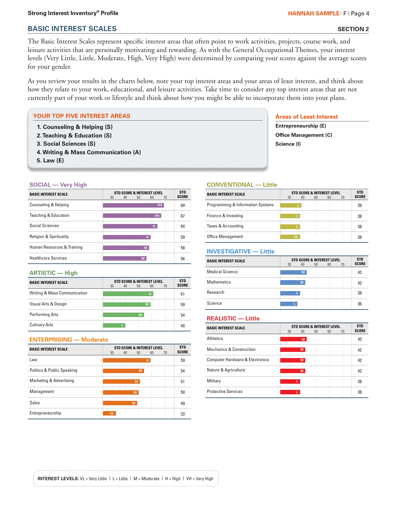### **Strong Interest Inventory® Profile HANNAH SAMPLE** I F I Page 4

**BASIC INTEREST SCALES**

# **SECTION 2**

The Basic Interest Scales represent specific interest areas that often point to work activities, projects, course work, and leisure activities that are personally motivating and rewarding. As with the General Occupational Themes, your interest levels (Very Little, Little, Moderate, High, Very High) were determined by comparing your scores against the average scores for your gender.

As you review your results in the charts below, note your top interest areas and your areas of least interest, and think about how they relate to your work, educational, and leisure activities. Take time to consider any top interest areas that are not currently part of your work or lifestyle and think about how you might be able to incorporate them into your plans.

#### **YOUR TOP FIVE INTEREST AREAS**

- **1. Counseling & Helping (S)**
- **2. Teaching & Education (S)**
- **3. Social Sciences (S)**
- **4. Writing & Mass Communication (A)**
- **5. Law (E)**

### **SOCIAL — Very High**

| <b>BASIC INTEREST SCALE</b>        | 30 | 40 | $50^{\circ}$ | <b>STD SCORE &amp; INTEREST LEVEL</b><br>60 | 70 | <b>STD</b><br><b>SCORE</b> |
|------------------------------------|----|----|--------------|---------------------------------------------|----|----------------------------|
| Counseling & Helping               |    |    |              | <b>VH</b>                                   |    | 69                         |
| <b>Teaching &amp; Education</b>    |    |    |              | <b>VH</b>                                   |    | 67                         |
| Social Sciences                    |    |    |              | н                                           |    | 64                         |
| <b>Religion &amp; Spirituality</b> |    |    |              | н                                           |    | 59                         |
| Human Resources & Training         |    |    | M            |                                             |    | 58                         |
| <b>Healthcare Services</b>         |    |    | M            |                                             |    | 56                         |

### **ARTISTIC — High**

| <b>BASIC INTEREST SCALE</b>  | 30 | 40 | STD SCORE & INTEREST LEVEL<br>50 | 60 | 70 | <b>STD</b><br><b>SCORE</b> |
|------------------------------|----|----|----------------------------------|----|----|----------------------------|
| Writing & Mass Communication |    |    | н                                |    |    | 61                         |
| Visual Arts & Design         |    |    | M                                |    |    | 59                         |
| <b>Performing Arts</b>       |    |    | M                                |    |    | 54                         |
| <b>Culinary Arts</b>         |    |    |                                  |    |    | 40                         |

# **ENTERPRISING — Moderate**

| <b>BASIC INTEREST SCALE</b> | 30        | 40 | <b>STD SCORE &amp; INTEREST LEVEL</b><br>50 | 60 | 70 | <b>STD</b><br><b>SCORE</b> |
|-----------------------------|-----------|----|---------------------------------------------|----|----|----------------------------|
| Law                         |           |    |                                             | н  |    | 59                         |
| Politics & Public Speaking  |           |    | M                                           |    |    | 54                         |
| Marketing & Advertising     |           |    | M                                           |    |    | 51                         |
| Management                  |           |    | M                                           |    |    | 50                         |
| Sales                       |           |    | M                                           |    |    | 49                         |
| Entrepreneurship            | <b>VL</b> |    |                                             |    |    | 33                         |

# **Areas of Least Interest**

**Entrepreneurship (E) Office Management (C) Science (I)**

## **CONVENTIONAL — Little**

| <b>BASIC INTEREST SCALE</b>       | 30 | 40  | <b>STD SCORE &amp; INTEREST LEVEL</b><br>50 | 60 | 70 | <b>STD</b><br><b>SCORE</b> |
|-----------------------------------|----|-----|---------------------------------------------|----|----|----------------------------|
| Programming & Information Systems |    |     |                                             |    |    | 39                         |
| Finance & Investing               |    |     |                                             |    |    | 38                         |
| Taxes & Accounting                |    |     |                                             |    |    | 38                         |
| <b>Office Management</b>          |    | vı. |                                             |    |    | 38                         |

# **INVESTIGATIVE — Little**

| <b>BASIC INTEREST SCALE</b> | 30 | <b>STD SCORE &amp; INTEREST LEVEL</b><br>40 | 50 | 60 | 70 | <b>STD</b><br><b>SCORE</b> |
|-----------------------------|----|---------------------------------------------|----|----|----|----------------------------|
| <b>Medical Science</b>      |    | M                                           |    |    |    | 43                         |
| <b>Mathematics</b>          |    | M                                           |    |    |    | 42                         |
| Research                    |    |                                             |    |    |    | 38                         |
| Science                     |    |                                             |    |    |    | 36                         |

### **REALISTIC — Little**

| <b>BASIC INTEREST SCALE</b>                | 30 | STD SCORE & INTEREST LEVEL<br>40 | 50 | 60 | 70 | <b>STD</b><br><b>SCORE</b> |
|--------------------------------------------|----|----------------------------------|----|----|----|----------------------------|
| <b>Athletics</b>                           |    | M                                |    |    |    | 43                         |
| <b>Mechanics &amp; Construction</b>        |    | M                                |    |    |    | 42                         |
| <b>Computer Hardware &amp; Electronics</b> |    | M                                |    |    |    | 42                         |
| Nature & Agriculture                       |    | M                                |    |    |    | 42                         |
| Military                                   |    | L.                               |    |    |    | 38                         |
| <b>Protective Services</b>                 |    |                                  |    |    |    | 38                         |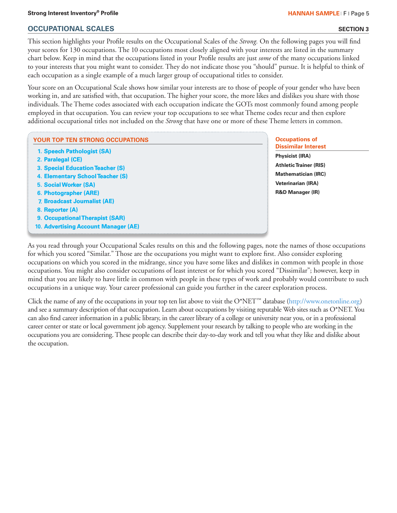# **Strong Interest Inventory® Profile HANNAH SAMPLE** F Page 5

# **OCCUPATIONAL SCALES**

This section highlights your Profile results on the Occupational Scales of the *Strong.* On the following pages you will find your scores for 130 occupations. The 10 occupations most closely aligned with your interests are listed in the summary chart below. Keep in mind that the occupations listed in your Profile results are just *some* of the many occupations linked to your interests that you might want to consider. They do not indicate those you "should" pursue. It is helpful to think of each occupation as a single example of a much larger group of occupational titles to consider.

Your score on an Occupational Scale shows how similar your interests are to those of people of your gender who have been working in, and are satisfied with, that occupation. The higher your score, the more likes and dislikes you share with those individuals. The Theme codes associated with each occupation indicate the GOTs most commonly found among people employed in that occupation. You can review your top occupations to see what Theme codes recur and then explore additional occupational titles not included on the *Strong* that have one or more of these Theme letters in common.

# **YOUR TOP TEN STRONG OCCUPATIONS**

- **1. [Speech Pathologist \(SA\)](http://www.onetonline.org/link/summary/29-1127.00)**
- **2. [Paralegal \(CE\)](http://www.onetonline.org/link/summary/23-2011.00)**
- **3. [Special Education Teacher \(S\)](http://www.onetonline.org/link/summary/25-2041.00)**
- **4. [Elementary School Teacher \(S\)](http://www.onetonline.org/link/summary/25-2021.00)**
- **5. [Social Worker \(SA\)](http://www.onetonline.org/link/summary/21-1021.00)**
- **6. [Photographer \(ARE\)](http://www.onetonline.org/link/summary/27-4021.00)**
- **7. [Broadcast Journalist \(AE\)](http://www.onetonline.org/link/summary/27-3011.00)**
- **8. [Reporter \(A\)](http://www.onetonline.org/link/summary/27-3022.00)**
- **9. [Occupational Therapist \(SAR\)](http://www.onetonline.org/link/summary/29-1122.00)**
- **10. [Advertising Account Manager \(AE\)](http://www.onetonline.org/link/summary/11-2011.00)**

# **Occupations of Dissimilar Interest**

**Physicist (IRA) Athletic Trainer (RIS) Mathematician (IRC) Veterinarian (IRA) R&D Manager (IR)**

As you read through your Occupational Scales results on this and the following pages, note the names of those occupations for which you scored "Similar." Those are the occupations you might want to explore first. Also consider exploring occupations on which you scored in the midrange, since you have some likes and dislikes in common with people in those occupations. You might also consider occupations of least interest or for which you scored "Dissimilar"; however, keep in mind that you are likely to have little in common with people in these types of work and probably would contribute to such occupations in a unique way. Your career professional can guide you further in the career exploration process.

Click the name of any of the occupations in your top ten list above to visit the O\*NET™ database (http://www.onetonline.org) and see a summary description of that occupation. Learn about occupations by visiting reputable Web sites such as O\*NET. You can also find career information in a public library, in the career library of a college or university near you, or in a professional career center or state or local government job agency. Supplement your research by talking to people who are working in the occupations you are considering. These people can describe their day-to-day work and tell you what they like and dislike about the occupation.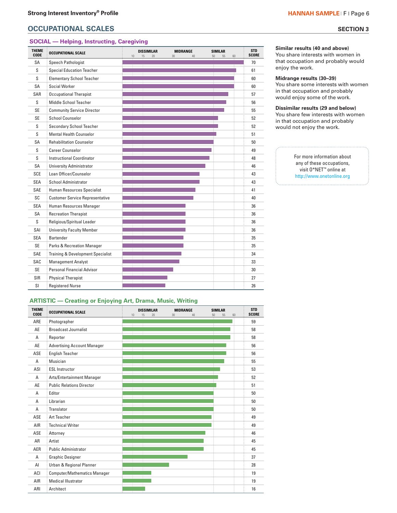# **OCCUPATIONAL SCALES** SECTION 3

# **SOCIAL — Helping, Instructing, Caregiving**

| <b>THEME</b><br><b>CODE</b> | <b>OCCUPATIONAL SCALE</b>                    | DISSIMILAR<br>10<br>20<br>15 | <b>MIDRANGE</b><br>40<br>30 | <b>SIMILAR</b><br>50<br>55<br>60 | <b>STD</b><br><b>SCORE</b> |
|-----------------------------|----------------------------------------------|------------------------------|-----------------------------|----------------------------------|----------------------------|
| SA                          | Speech Pathologist                           |                              |                             |                                  | 70                         |
| S                           | <b>Special Education Teacher</b>             |                              |                             |                                  | 61                         |
| S                           | <b>Elementary School Teacher</b>             |                              |                             |                                  | 60                         |
| <b>SA</b>                   | Social Worker                                |                              |                             |                                  | 60                         |
| SAR                         | <b>Occupational Therapist</b>                |                              |                             |                                  | 57                         |
| S                           | Middle School Teacher                        |                              |                             |                                  | 56                         |
| <b>SE</b>                   | <b>Community Service Director</b>            |                              |                             |                                  | 55                         |
| <b>SE</b>                   | School Counselor                             |                              |                             |                                  | 52                         |
| S                           | <b>Secondary School Teacher</b>              |                              |                             |                                  | 52                         |
| S                           | <b>Mental Health Counselor</b>               |                              |                             |                                  | 51                         |
| SΑ                          | <b>Rehabilitation Counselor</b>              |                              |                             |                                  | 50                         |
| S                           | <b>Career Counselor</b>                      |                              |                             |                                  | 49                         |
| S                           | <b>Instructional Coordinator</b>             |                              |                             |                                  | 48                         |
| <b>SA</b>                   | <b>University Administrator</b>              |                              |                             |                                  | 46                         |
| <b>SCE</b>                  | Loan Officer/Counselor                       |                              |                             |                                  | 43                         |
| <b>SEA</b>                  | <b>School Administrator</b>                  |                              |                             |                                  | 43                         |
| SAE                         | Human Resources Specialist                   |                              |                             |                                  | 41                         |
| SC                          | <b>Customer Service Representative</b>       |                              |                             |                                  | 40                         |
| <b>SEA</b>                  | Human Resources Manager                      |                              |                             |                                  | 36                         |
| <b>SA</b>                   | <b>Recreation Therapist</b>                  |                              |                             |                                  | 36                         |
| S                           | Religious/Spiritual Leader                   |                              |                             |                                  | 36                         |
| SAI                         | <b>University Faculty Member</b>             |                              |                             |                                  | 36                         |
| <b>SEA</b>                  | <b>Bartender</b>                             |                              |                             |                                  | 35                         |
| <b>SE</b>                   | <b>Parks &amp; Recreation Manager</b>        |                              |                             |                                  | 35                         |
| SAE                         | <b>Training &amp; Development Specialist</b> |                              |                             |                                  | 34                         |
| SAC                         | <b>Management Analyst</b>                    |                              |                             |                                  | 33                         |
| <b>SE</b>                   | <b>Personal Financial Advisor</b>            |                              |                             |                                  | 30                         |
| <b>SIR</b>                  | <b>Physical Therapist</b>                    |                              |                             |                                  | 27                         |
| SΙ                          | <b>Registered Nurse</b>                      |                              |                             |                                  | 26                         |

# **Similar results (40 and above)**

You share interests with women in that occupation and probably would enjoy the work.

# **Midrange results (30–39)**

You share some interests with women in that occupation and probably would enjoy some of the work.

#### **Dissimilar results (29 and below)**  You share few interests with women in that occupation and probably would not enjoy the work.

For more information about any of these occupations, visit O\*NET™ online at http://www.onetonline.org

# **ARTISTIC — Creating or Enjoying Art, Drama, Music, Writing**

| <b>THEME</b><br><b>CODE</b> | <b>OCCUPATIONAL SCALE</b>           | <b>DISSIMILAR</b><br>15<br>20<br>10 | <b>MIDRANGE</b><br>30<br>40 | <b>SIMILAR</b><br>50<br>55<br>60 | <b>STD</b><br><b>SCORE</b> |
|-----------------------------|-------------------------------------|-------------------------------------|-----------------------------|----------------------------------|----------------------------|
| ARE                         | Photographer                        |                                     |                             |                                  | 59                         |
| AE                          | <b>Broadcast Journalist</b>         |                                     |                             |                                  | 58                         |
| A                           | Reporter                            |                                     |                             |                                  | 58                         |
| AE                          | <b>Advertising Account Manager</b>  |                                     |                             |                                  | 56                         |
| ASE                         | <b>English Teacher</b>              |                                     |                             |                                  | 56                         |
| A                           | Musician                            |                                     |                             |                                  | 55                         |
| ASI                         | <b>ESL Instructor</b>               |                                     |                             |                                  | 53                         |
| A                           | Arts/Entertainment Manager          |                                     |                             |                                  | 52                         |
| AE                          | <b>Public Relations Director</b>    |                                     |                             |                                  | 51                         |
| А                           | Editor                              |                                     |                             |                                  | 50                         |
| A                           | Librarian                           |                                     |                             |                                  | 50                         |
| A                           | Translator                          |                                     |                             |                                  | 50                         |
| ASE                         | Art Teacher                         |                                     |                             |                                  | 49                         |
| AIR                         | <b>Technical Writer</b>             |                                     |                             |                                  | 49                         |
| ASE                         | Attorney                            |                                     |                             |                                  | 46                         |
| AR                          | Artist                              |                                     |                             |                                  | 45                         |
| AER                         | <b>Public Administrator</b>         |                                     |                             |                                  | 45                         |
| A                           | <b>Graphic Designer</b>             |                                     |                             |                                  | 37                         |
| AI                          | Urban & Regional Planner            |                                     |                             |                                  | 28                         |
| ACI                         | <b>Computer/Mathematics Manager</b> |                                     |                             |                                  | 19                         |
| AIR                         | <b>Medical Illustrator</b>          |                                     |                             |                                  | 19                         |
| ARI                         | Architect                           |                                     |                             |                                  | 16                         |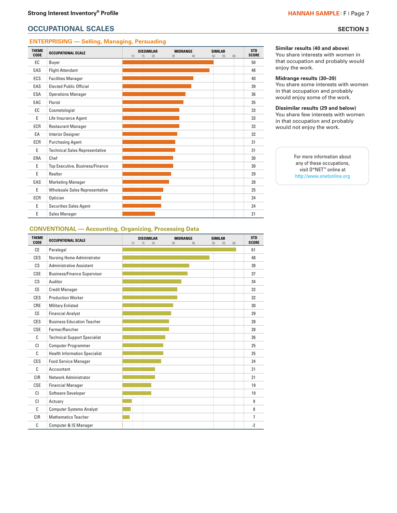# **OCCUPATIONAL SCALES** SECTION 3

# **ENTERPRISING — Selling, Managing, Persuading**

| <b>THEME</b><br><b>CODE</b> | <b>OCCUPATIONAL SCALE</b>             | 10 | <b>DISSIMILAR</b><br>15<br>20 | <b>MIDRANGE</b><br>30<br>40 | <b>SIMILAR</b><br>55<br>50<br>60 | <b>STD</b><br><b>SCORE</b> |
|-----------------------------|---------------------------------------|----|-------------------------------|-----------------------------|----------------------------------|----------------------------|
| EC                          | Buyer                                 |    |                               |                             |                                  | 50                         |
| EAS                         | <b>Flight Attendant</b>               |    |                               |                             |                                  | 48                         |
| <b>ECS</b>                  | <b>Facilities Manager</b>             |    |                               |                             |                                  | 40                         |
| EAS                         | <b>Elected Public Official</b>        |    |                               |                             |                                  | 39                         |
| <b>ESA</b>                  | <b>Operations Manager</b>             |    |                               |                             |                                  | 36                         |
| EAC                         | Florist                               |    |                               |                             |                                  | 35                         |
| EC                          | Cosmetologist                         |    |                               |                             |                                  | 33                         |
| E                           | Life Insurance Agent                  |    |                               |                             |                                  | 33                         |
| ECR                         | <b>Restaurant Manager</b>             |    |                               |                             |                                  | 33                         |
| EA                          | <b>Interior Designer</b>              |    |                               |                             |                                  | 32                         |
| ECR                         | <b>Purchasing Agent</b>               |    |                               |                             |                                  | 31                         |
| E                           | <b>Technical Sales Representative</b> |    |                               |                             |                                  | 31                         |
| ERA                         | Chef                                  |    |                               |                             |                                  | 30                         |
| E                           | Top Executive, Business/Finance       |    |                               |                             |                                  | 30                         |
| E                           | Realtor                               |    |                               |                             |                                  | 29                         |
| EAS                         | <b>Marketing Manager</b>              |    |                               |                             |                                  | 28                         |
| E                           | <b>Wholesale Sales Representative</b> |    |                               |                             |                                  | 25                         |
| ECR                         | Optician                              |    |                               |                             |                                  | 24                         |
| E                           | <b>Securities Sales Agent</b>         |    |                               |                             |                                  | 24                         |
| E                           | Sales Manager                         |    |                               |                             |                                  | 21                         |

**Similar results (40 and above)** 

You share interests with women in that occupation and probably would enjoy the work.

#### **Midrange results (30–39)**

You share some interests with women in that occupation and probably would enjoy some of the work.

**Dissimilar results (29 and below)**  You share few interests with women in that occupation and probably would not enjoy the work.

> For more information about any of these occupations, visit O\*NET ™ online at http://www.onetonline.org

# **CONVENTIONAL — Accounting, Organizing, Processing Data**

| <b>THEME</b><br>CODE | <b>OCCUPATIONAL SCALE</b>            | 10 | <b>DISSIMILAR</b><br>15<br>20 | <b>MIDRANGE</b><br>30<br>40 | <b>SIMILAR</b><br>50<br>55<br>60 | <b>STD</b><br><b>SCORE</b> |
|----------------------|--------------------------------------|----|-------------------------------|-----------------------------|----------------------------------|----------------------------|
| <b>CE</b>            | Paralegal                            |    |                               |                             |                                  | 61                         |
| CES                  | Nursing Home Administrator           |    |                               |                             |                                  | 48                         |
| $\mathsf{CS}$        | <b>Administrative Assistant</b>      |    |                               |                             |                                  | 38                         |
| <b>CSE</b>           | <b>Business/Finance Supervisor</b>   |    |                               |                             |                                  | 37                         |
| $\mathsf{CS}$        | Auditor                              |    |                               |                             |                                  | 34                         |
| CE                   | <b>Credit Manager</b>                |    |                               |                             |                                  | 32                         |
| CES                  | <b>Production Worker</b>             |    |                               |                             |                                  | 32                         |
| CRE                  | <b>Military Enlisted</b>             |    |                               |                             |                                  | 30                         |
| <b>CE</b>            | <b>Financial Analyst</b>             |    |                               |                             |                                  | 29                         |
| CES                  | <b>Business Education Teacher</b>    |    |                               |                             |                                  | 28                         |
| CSE                  | Farmer/Rancher                       |    |                               |                             |                                  | 28                         |
| C                    | <b>Technical Support Specialist</b>  |    |                               |                             |                                  | 26                         |
| CI                   | <b>Computer Programmer</b>           |    |                               |                             |                                  | 25                         |
| C                    | <b>Health Information Specialist</b> |    |                               |                             |                                  | 25                         |
| CES                  | <b>Food Service Manager</b>          |    |                               |                             |                                  | 24                         |
| C                    | Accountant                           |    |                               |                             |                                  | 21                         |
| <b>CIR</b>           | Network Administrator                |    |                               |                             |                                  | 21                         |
| <b>CSE</b>           | <b>Financial Manager</b>             |    |                               |                             |                                  | 19                         |
| CI                   | Software Developer                   |    |                               |                             |                                  | 19                         |
| CI                   | Actuary                              |    |                               |                             |                                  | 9                          |
| C                    | <b>Computer Systems Analyst</b>      |    |                               |                             |                                  | 8                          |
| <b>CIR</b>           | <b>Mathematics Teacher</b>           |    |                               |                             |                                  | $\overline{7}$             |
| C                    | Computer & IS Manager                |    |                               |                             |                                  | $-2$                       |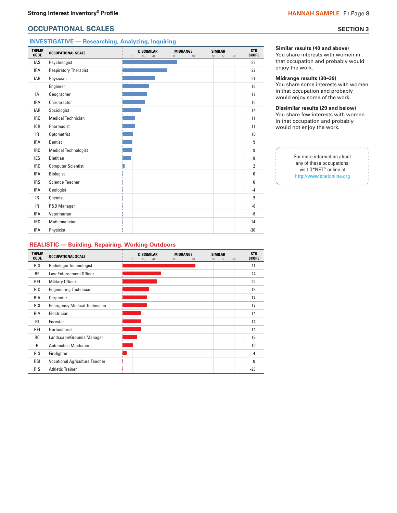# **OCCUPATIONAL SCALES** SECTION 3

# **INVESTIGATIVE — Researching, Analyzing, Inquiring**

| <b>THEME</b><br>CODE | <b>OCCUPATIONAL SCALE</b>    | <b>DISSIMILAR</b><br><b>MIDRANGE</b><br><b>SIMILAR</b><br>30<br>40<br>55<br>15<br>20<br>50<br>60<br>10 | <b>STD</b><br><b>SCORE</b> |
|----------------------|------------------------------|--------------------------------------------------------------------------------------------------------|----------------------------|
| IAS                  | Psychologist                 |                                                                                                        | 32                         |
| <b>IRA</b>           | <b>Respiratory Therapist</b> |                                                                                                        | 27                         |
| <b>IAR</b>           | Physician                    |                                                                                                        | 21                         |
| $\mathbf{I}$         | Engineer                     |                                                                                                        | 18                         |
| IA                   | Geographer                   |                                                                                                        | 17                         |
| <b>IRA</b>           | Chiropractor                 |                                                                                                        | 16                         |
| <b>IAR</b>           | Sociologist                  |                                                                                                        | 14                         |
| <b>IRC</b>           | <b>Medical Technician</b>    |                                                                                                        | 11                         |
| <b>ICR</b>           | Pharmacist                   |                                                                                                        | 11                         |
| IR.                  | Optometrist                  |                                                                                                        | 10                         |
| <b>IRA</b>           | Dentist                      |                                                                                                        | 9                          |
| <b>IRC</b>           | <b>Medical Technologist</b>  |                                                                                                        | 9                          |
| <b>IES</b>           | Dietitian                    |                                                                                                        | 8                          |
| <b>IRC</b>           | <b>Computer Scientist</b>    |                                                                                                        | $\overline{2}$             |
| <b>IRA</b>           | Biologist                    |                                                                                                        | $\mathbf{0}$               |
| <b>IRS</b>           | <b>Science Teacher</b>       |                                                                                                        | 0                          |
| <b>IRA</b>           | Geologist                    |                                                                                                        | $-4$                       |
| IR.                  | Chemist                      |                                                                                                        | $-5$                       |
| IR.                  | R&D Manager                  |                                                                                                        | -6                         |
| <b>IRA</b>           | Veterinarian                 |                                                                                                        | $-6$                       |
| <b>IRC</b>           | Mathematician                |                                                                                                        | $-14$                      |
| <b>IRA</b>           | Physicist                    |                                                                                                        | $-30$                      |

#### **Similar results (40 and above)**

You share interests with women in that occupation and probably would enjoy the work.

#### **Midrange results (30–39)**

You share some interests with women in that occupation and probably would enjoy some of the work.

#### **Dissimilar results (29 and below)**  You share few interests with women in that occupation and probably would not enjoy the work.

For more information about any of these occupations, visit O\*NET™ online at http://www.onetonline.org

### **REALISTIC — Building, Repairing, Working Outdoors**

| <b>THEME</b><br><b>CODE</b> | <b>OCCUPATIONAL SCALE</b>             | 10 | <b>DISSIMILAR</b><br>15<br>20 | 30 | <b>MIDRANGE</b><br>40 | <b>SIMILAR</b><br>50<br>55 | 60 | <b>STD</b><br><b>SCORE</b> |
|-----------------------------|---------------------------------------|----|-------------------------------|----|-----------------------|----------------------------|----|----------------------------|
| <b>RIS</b>                  | Radiologic Technologist               |    |                               |    |                       |                            |    | 41                         |
| <b>RE</b>                   | <b>Law Enforcement Officer</b>        |    |                               |    |                       |                            |    | 24                         |
| REI                         | <b>Military Officer</b>               |    |                               |    |                       |                            |    | 22                         |
| <b>RIC</b>                  | <b>Engineering Technician</b>         |    |                               |    |                       |                            |    | 18                         |
| <b>RIA</b>                  | Carpenter                             |    |                               |    |                       |                            |    | 17                         |
| RCI                         | <b>Emergency Medical Technician</b>   |    |                               |    |                       |                            |    | 17                         |
| <b>RIA</b>                  | Electrician                           |    |                               |    |                       |                            |    | 14                         |
| RI.                         | Forester                              |    |                               |    |                       |                            |    | 14                         |
| <b>REI</b>                  | Horticulturist                        |    |                               |    |                       |                            |    | 14                         |
| RC                          | : Landscape/Grounds Manager           |    |                               |    |                       |                            |    | 12                         |
| $\mathsf{R}$                | Automobile Mechanic                   |    |                               |    |                       |                            |    | 10                         |
| <b>RIS</b>                  | Firefighter                           |    |                               |    |                       |                            |    | 4                          |
| <b>RSI</b>                  | <b>Vocational Agriculture Teacher</b> |    |                               |    |                       |                            |    | 0                          |
| <b>RIS</b>                  | <b>Athletic Trainer</b>               |    |                               |    |                       |                            |    | $-23$                      |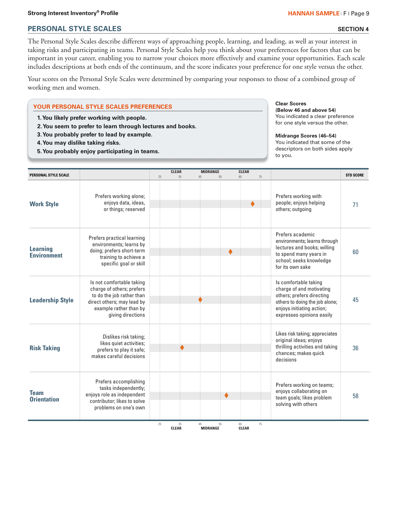# **PERSONAL STYLE SCALES**

**SECTION 4**

The Personal Style Scales describe different ways of approaching people, learning, and leading, as well as your interest in taking risks and participating in teams. Personal Style Scales help you think about your preferences for factors that can be important in your career, enabling you to narrow your choices more effectively and examine your opportunities. Each scale includes descriptions at both ends of the continuum, and the score indicates your preference for one style versus the other.

Your scores on the Personal Style Scales were determined by comparing your responses to those of a combined group of working men and women.

# **YOUR PERSONAL STYLE SCALES PREFERENCES**

- **1. You likely prefer working with people.**
- **2. You seem to prefer to learn through lectures and books.**
- **3. You probably prefer to lead by example.**
- **4. You may dislike taking risks.**
- **5. You probably enjoy participating in teams.**

**Clear Scores (Below 46 and above 54)** You indicated a clear preference for one style versus the other.

**Midrange Scores (46–54)** You indicated that some of the descriptors on both sides apply to you.

|                                                                                                                                                                  | <b>CLEAR</b> |    |           | <b>CLEAR</b>          |    |    | <b>STD SCORE</b>                                                                                                                                                                                                                                                                                                                                                                                                                                                                                                                                                                                                                                             |
|------------------------------------------------------------------------------------------------------------------------------------------------------------------|--------------|----|-----------|-----------------------|----|----|--------------------------------------------------------------------------------------------------------------------------------------------------------------------------------------------------------------------------------------------------------------------------------------------------------------------------------------------------------------------------------------------------------------------------------------------------------------------------------------------------------------------------------------------------------------------------------------------------------------------------------------------------------------|
| Prefers working alone;<br>enjoys data, ideas,<br>or things; reserved                                                                                             |              |    |           | ♦                     |    |    | 71                                                                                                                                                                                                                                                                                                                                                                                                                                                                                                                                                                                                                                                           |
| Prefers practical learning<br>environments; learns by<br>doing; prefers short-term<br>training to achieve a<br>specific goal or skill                            |              |    | ٠         |                       |    |    | 60                                                                                                                                                                                                                                                                                                                                                                                                                                                                                                                                                                                                                                                           |
| Is not comfortable taking<br>charge of others; prefers<br>to do the job rather than<br>direct others; may lead by<br>example rather than by<br>giving directions |              |    |           |                       |    |    | 45                                                                                                                                                                                                                                                                                                                                                                                                                                                                                                                                                                                                                                                           |
| Dislikes risk taking;<br>likes quiet activities;<br>prefers to play it safe;<br>makes careful decisions                                                          |              |    |           |                       |    |    | 36                                                                                                                                                                                                                                                                                                                                                                                                                                                                                                                                                                                                                                                           |
| Prefers accomplishing<br>tasks independently;<br>enjoys role as independent<br>contributor; likes to solve<br>problems on one's own                              |              |    | $\bullet$ |                       |    |    | 58                                                                                                                                                                                                                                                                                                                                                                                                                                                                                                                                                                                                                                                           |
|                                                                                                                                                                  | 25           | 35 | 45        | <b>MIDRANGE</b><br>55 | 65 | 75 | Prefers working with<br>people; enjoys helping<br>others; outgoing<br>Prefers academic<br>environments; learns through<br>lectures and books; willing<br>to spend many years in<br>school; seeks knowledge<br>for its own sake<br>Is comfortable taking<br>charge of and motivating<br>others; prefers directing<br>others to doing the job alone;<br>enjoys initiating action;<br>expresses opinions easily<br>Likes risk taking; appreciates<br>original ideas; enjoys<br>thrilling activities and taking<br>chances; makes quick<br>decisions<br>Prefers working on teams;<br>enjoys collaborating on<br>team goals; likes problem<br>solving with others |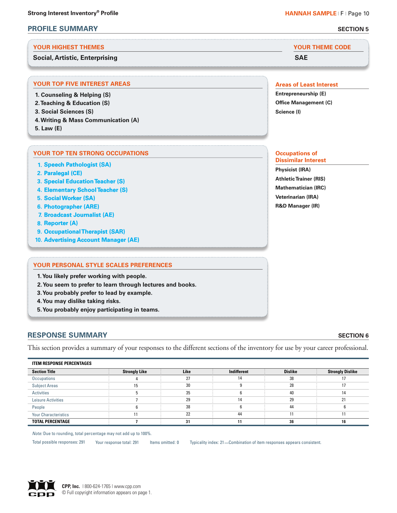# **PROFILE SUMMARY SECTION 5**

### **YOUR HIGHEST THEMES YOUR THEME CODE**

# **Social, Artistic, Enterprising SAE**

. . . . . . . . . . . . . . .

# **YOUR TOP FIVE INTEREST AREAS**

- **1. Counseling & Helping (S)**
- **2. Teaching & Education (S)**
- **3. Social Sciences (S)**
- **4. Writing & Mass Communication (A)**
- **5. Law (E)**

# **YOUR TOP TEN STRONG OCCUPATIONS**

- **1. [Speech Pathologist \(SA\)](http://www.onetonline.org/link/summary/29-1127.00)**
- **2. [Paralegal \(CE\)](http://www.onetonline.org/link/summary/23-2011.00)**
- **3. [Special Education Teacher \(S\)](http://www.onetonline.org/link/summary/25-2041.00)**
- **4. [Elementary School Teacher \(S\)](http://www.onetonline.org/link/summary/25-2021.00)**
- **5. [Social Worker \(SA\)](http://www.onetonline.org/link/summary/21-1021.00)**
- **6. [Photographer \(ARE\)](http://www.onetonline.org/link/summary/27-4021.00)**
- **7. [Broadcast Journalist \(AE\)](http://www.onetonline.org/link/summary/27-3011.00)**
- **8. [Reporter \(A\)](http://www.onetonline.org/link/summary/27-3022.00)**
- **9. [Occupational Therapist \(SAR\)](http://www.onetonline.org/link/summary/29-1122.00)**
- **10. [Advertising Account Manager \(AE\)](http://www.onetonline.org/link/summary/11-2011.00)**

### **YOUR PERSONAL STYLE SCALES PREFERENCES**

**1. You likely prefer working with people.**

- **2. You seem to prefer to learn through lectures and books.**
- **3. You probably prefer to lead by example.**
- **4. You may dislike taking risks.**
- **5. You probably enjoy participating in teams.**

# **RESPONSE SUMMARY**

This section provides a summary of your responses to the different sections of the inventory for use by your career professional.

| <b>ITEM RESPONSE PERCENTAGES</b> |                      |             |             |                |                         |
|----------------------------------|----------------------|-------------|-------------|----------------|-------------------------|
| <b>Section Title</b>             | <b>Strongly Like</b> | <b>Like</b> | Indifferent | <b>Dislike</b> | <b>Strongly Dislike</b> |
| Occupations                      |                      | דר          | 14          | 38             |                         |
| <b>Subject Areas</b>             | 15                   | 30          |             | 28             |                         |
| Activities                       |                      | 35          |             | 40             |                         |
| <b>Leisure Activities</b>        |                      | 29          | 14          | 29             | n.                      |
| People                           |                      | 38          |             | 44             |                         |
| <b>Your Characteristics</b>      |                      | 22          | 44          |                |                         |
| <b>TOTAL PERCENTAGE</b>          |                      | 31          | 11          | 36             | 16                      |

*Note:* Due to rounding, total percentage may not add up to 100%.

Total possible responses: 291 Your response total: 291 Items omitted: 0 Typicality index: 21 Combination of item responses appears consistent.

# **Areas of Least Interest**

**Entrepreneurship (E) Office Management (C) Science (I)**

#### **Occupations of Dissimilar Interest**

**Physicist (IRA) Athletic Trainer (RIS) Mathematician (IRC) Veterinarian (IRA) R&D Manager (IR)**



# **SECTION 6**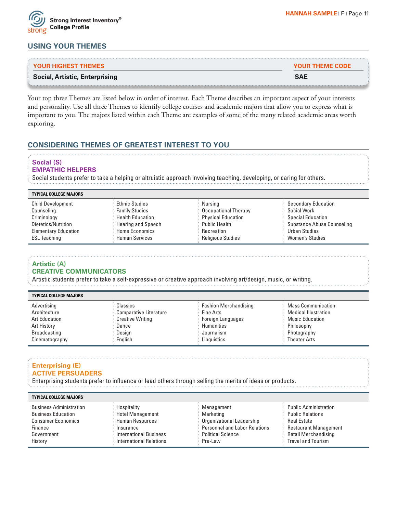

| <b>Social, Artistic, Enterprising</b> | <b>SAE</b>             |
|---------------------------------------|------------------------|
| <b>YOUR HIGHEST THEMES</b>            | <b>YOUR THEME CODE</b> |
|                                       |                        |

Your top three Themes are listed below in order of interest. Each Theme describes an important aspect of your interests and personality. Use all three Themes to identify college courses and academic majors that allow you to express what is important to you. The majors listed within each Theme are examples of some of the many related academic areas worth exploring.

# **CONSIDERING THEMES OF GREATEST INTEREST TO YOU**

# **Social (S)**

### **EMPATHIC HELPERS**

Social students prefer to take a helping or altruistic approach involving teaching, developing, or caring for others.

| <b>TYPICAL COLLEGE MAJORS</b> |                           |                           |                            |
|-------------------------------|---------------------------|---------------------------|----------------------------|
| <b>Child Development</b>      | <b>Ethnic Studies</b>     | Nursing                   | <b>Secondary Education</b> |
| Counseling                    | <b>Family Studies</b>     | Occupational Therapy      | Social Work                |
| Criminology                   | <b>Health Education</b>   | <b>Physical Education</b> | Special Education          |
| Dietetics/Nutrition           | <b>Hearing and Speech</b> | <b>Public Health</b>      | Substance Abuse Counseling |
| <b>Elementary Education</b>   | <b>Home Economics</b>     | Recreation                | <b>Urban Studies</b>       |
| <b>ESL Teaching</b>           | <b>Human Services</b>     | <b>Religious Studies</b>  | <b>Women's Studies</b>     |

# **Artistic (A) CREATIVE COMMUNICATORS**

Artistic students prefer to take a self-expressive or creative approach involving art/design, music, or writing.

| <b>TYPICAL COLLEGE MAJORS</b> |                         |                              |                             |
|-------------------------------|-------------------------|------------------------------|-----------------------------|
| Advertising                   | Classics                | <b>Eashion Merchandising</b> | Mass Communication          |
| Architecture                  | Comparative Literature  | <b>Fine Arts</b>             | <b>Medical Illustration</b> |
| <b>Art Education</b>          | <b>Creative Writing</b> | <b>Foreign Languages</b>     | Music Education             |
| Art History                   | Dance                   | <b>Humanities</b>            | Philosophy                  |
| <b>Broadcasting</b>           | Design                  | Journalism                   | Photography                 |
| Cinematography                | English                 | Linguistics                  | <b>Theater Arts</b>         |

# **Enterprising (E) ACTIVE PERSUADERS**

Enterprising students prefer to influence or lead others through selling the merits of ideas or products.

| <b>TYPICAL COLLEGE MAJORS</b>  |                                |                                    |                              |
|--------------------------------|--------------------------------|------------------------------------|------------------------------|
| <b>Business Administration</b> | Hospitality                    | : Management                       | <b>Public Administration</b> |
| <b>Business Education</b>      | <b>Hotel Management</b>        | Marketing                          | <b>Public Relations</b>      |
| <b>Consumer Economics</b>      | <b>Human Resources</b>         | <b>: Organizational Leadership</b> | Real Estate                  |
| Finance                        | Insurance                      | Personnel and Labor Relations      | <b>Restaurant Management</b> |
| Government                     | <b>International Business</b>  | <b>E</b> Political Science         | <b>Retail Merchandising</b>  |
| History                        | <b>International Relations</b> | Pre-Law                            | <b>Travel and Tourism</b>    |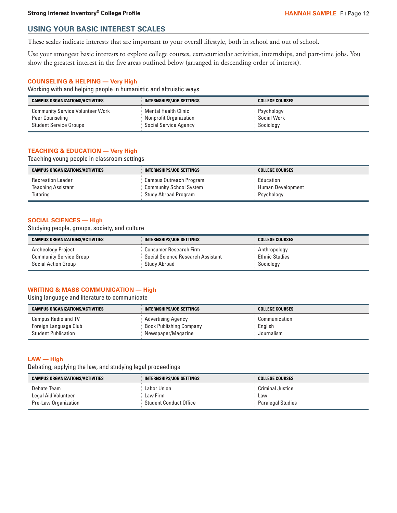# **USING YOUR BASIC INTEREST SCALES**

These scales indicate interests that are important to your overall lifestyle, both in school and out of school.

Use your strongest basic interests to explore college courses, extracurricular activities, internships, and part-time jobs. You show the greatest interest in the five areas outlined below (arranged in descending order of interest).

# **COUNSELING & HELPING — Very High**

Working with and helping people in humanistic and altruistic ways

| <b>CAMPUS ORGANIZATIONS/ACTIVITIES</b>  | INTERNSHIPS/JOB SETTINGS | <b>COLLEGE COURSES</b> |
|-----------------------------------------|--------------------------|------------------------|
| <b>Community Service Volunteer Work</b> | ` Mental Health Clinic   | : Psychology           |
| Peer Counseling                         | Nonprofit Organization   | Social Work            |
| <b>Student Service Groups</b>           | Social Service Agency    | Sociology              |

# **TEACHING & EDUCATION — Very High**

Teaching young people in classroom settings

| <b>CAMPUS ORGANIZATIONS/ACTIVITIES</b> | INTERNSHIPS/JOB SETTINGS  | <b>COLLEGE COURSES</b> |
|----------------------------------------|---------------------------|------------------------|
| <b>Recreation Leader</b>               | E Campus Outreach Program | Education              |
| <b>Teaching Assistant</b>              | Community School System   | : Human Development    |
| Tutoring                               | Study Abroad Program      | Psychology             |

# **SOCIAL SCIENCES — High**

Studying people, groups, society, and culture

| <b>CAMPUS ORGANIZATIONS/ACTIVITIES</b> | INTERNSHIPS/JOB SETTINGS          | COLLEGE COURSES       |
|----------------------------------------|-----------------------------------|-----------------------|
| Archeology Project                     | $\colon$ Consumer Research Firm . | Anthropology          |
| <b>Community Service Group</b>         | Social Science Research Assistant | <b>Ethnic Studies</b> |
| <b>Social Action Group</b>             | Study Abroad                      | Sociology             |

### **WRITING & MASS COMMUNICATION — High**

Using language and literature to communicate

| <b>CAMPUS ORGANIZATIONS/ACTIVITIES</b> | INTERNSHIPS/JOB SETTINGS       | <b>COLLEGE COURSES</b> |
|----------------------------------------|--------------------------------|------------------------|
| <b>Campus Radio and TV</b>             | Advertising Agency             | Communication          |
| Foreign Language Club                  | <b>Book Publishing Company</b> | English                |
| <b>Student Publication</b>             | Newspaper/Magazine             | Journalism             |

# **LAW — High**

Debating, applying the law, and studying legal proceedings

| <b>CAMPUS ORGANIZATIONS/ACTIVITIES</b> | INTERNSHIPS/JOB SETTINGS | <b>COLLEGE COURSES</b>   |
|----------------------------------------|--------------------------|--------------------------|
| Debate Team                            | Labor Union              | $\pm$ Criminal Justice   |
| Legal Aid Volunteer                    | Law Firm                 | Law                      |
| Pre-Law Organization                   | Student Conduct Office   | <b>Paralegal Studies</b> |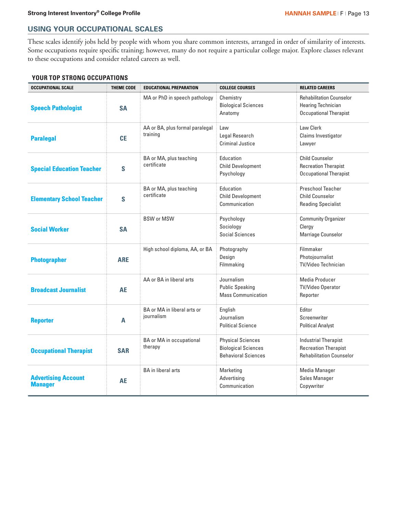# **USING YOUR OCCUPATIONAL SCALES**

These scales identify jobs held by people with whom you share common interests, arranged in order of similarity of interests. Some occupations require specific training; however, many do not require a particular college major. Explore classes relevant to these occupations and consider related careers as well.

# **YOUR TOP STRONG OCCUPATIONS**

| <b>OCCUPATIONAL SCALE</b>                    | <b>THEME CODE</b> | <b>EDUCATIONAL PREPARATION</b>              | <b>COLLEGE COURSES</b>                                                               | <b>RELATED CAREERS</b>                                                                        |
|----------------------------------------------|-------------------|---------------------------------------------|--------------------------------------------------------------------------------------|-----------------------------------------------------------------------------------------------|
| <b>Speech Pathologist</b>                    | <b>SA</b>         | MA or PhD in speech pathology               | Chemistry<br><b>Biological Sciences</b><br>Anatomy                                   | <b>Rehabilitation Counselor</b><br><b>Hearing Technician</b><br><b>Occupational Therapist</b> |
| <b>Paralegal</b>                             | <b>CE</b>         | AA or BA, plus formal paralegal<br>training | Law<br>Legal Research<br><b>Criminal Justice</b>                                     | Law Clerk<br>Claims Investigator<br>Lawyer                                                    |
| <b>Special Education Teacher</b>             | S                 | BA or MA, plus teaching<br>certificate      | Education<br><b>Child Development</b><br>Psychology                                  | <b>Child Counselor</b><br><b>Recreation Therapist</b><br><b>Occupational Therapist</b>        |
| <b>Elementary School Teacher</b>             | S                 | BA or MA, plus teaching<br>certificate      | Education<br><b>Child Development</b><br>Communication                               | <b>Preschool Teacher</b><br><b>Child Counselor</b><br><b>Reading Specialist</b>               |
| <b>Social Worker</b>                         | <b>SA</b>         | <b>BSW or MSW</b>                           | Psychology<br>Sociology<br>Social Sciences                                           | <b>Community Organizer</b><br>Clergy<br>Marriage Counselor                                    |
| <b>Photographer</b>                          | <b>ARE</b>        | High school diploma, AA, or BA              | Photography<br>Design<br>Filmmaking                                                  | Filmmaker<br>Photojournalist<br><b>TV/Video Technician</b>                                    |
| <b>Broadcast Journalist</b>                  | <b>AE</b>         | AA or BA in liberal arts                    | Journalism<br><b>Public Speaking</b><br><b>Mass Communication</b>                    | Media Producer<br><b>TV/Video Operator</b><br>Reporter                                        |
| <b>Reporter</b>                              | A                 | BA or MA in liberal arts or<br>journalism   | English<br>Journalism<br><b>Political Science</b>                                    | Editor<br>Screenwriter<br><b>Political Analyst</b>                                            |
| <b>Occupational Therapist</b>                | <b>SAR</b>        | <b>BA</b> or MA in occupational<br>therapy  | <b>Physical Sciences</b><br><b>Biological Sciences</b><br><b>Behavioral Sciences</b> | <b>Industrial Therapist</b><br><b>Recreation Therapist</b><br><b>Rehabilitation Counselor</b> |
| <b>Advertising Account</b><br><b>Manager</b> | AE                | <b>BA</b> in liberal arts                   | Marketing<br>Advertising<br>Communication                                            | <b>Media Manager</b><br>Sales Manager<br>Copywriter                                           |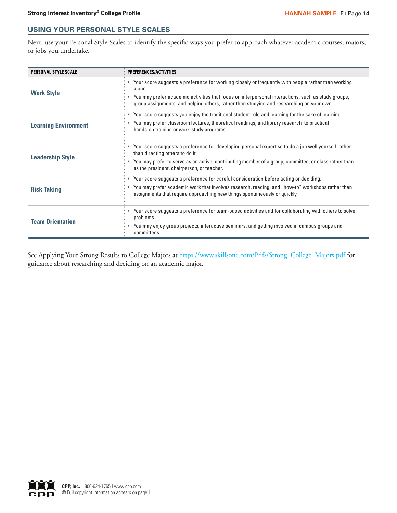# **USING YOUR PERSONAL STYLE SCALES**

Next, use your Personal Style Scales to identify the specific ways you prefer to approach whatever academic courses, majors, or jobs you undertake.

| <b>PERSONAL STYLE SCALE</b> | PREFERENCES/ACTIVITIES                                                                                                                                                                                                                                                                                             |
|-----------------------------|--------------------------------------------------------------------------------------------------------------------------------------------------------------------------------------------------------------------------------------------------------------------------------------------------------------------|
| <b>Work Style</b>           | • Your score suggests a preference for working closely or frequently with people rather than working<br>alone.<br>• You may prefer academic activities that focus on interpersonal interactions, such as study groups,<br>group assignments, and helping others, rather than studying and researching on your own. |
| <b>Learning Environment</b> | • Your score suggests you enjoy the traditional student role and learning for the sake of learning.<br>• You may prefer classroom lectures, theoretical readings, and library research to practical<br>hands-on training or work-study programs.                                                                   |
| <b>Leadership Style</b>     | • Your score suggests a preference for developing personal expertise to do a job well yourself rather<br>than directing others to do it.<br>• You may prefer to serve as an active, contributing member of a group, committee, or class rather than<br>as the president, chairperson, or teacher.                  |
| <b>Risk Taking</b>          | • Your score suggests a preference for careful consideration before acting or deciding.<br>• You may prefer academic work that involves research, reading, and "how-to" workshops rather than<br>assignments that require approaching new things spontaneously or quickly.                                         |
| <b>Team Orientation</b>     | • Your score suggests a preference for team-based activities and for collaborating with others to solve<br>problems.<br>• You may enjoy group projects, interactive seminars, and getting involved in campus groups and<br>committees.                                                                             |

See Applying Your Strong Results to College Majors at https://www.skillsone.com/Pdfs/Strong\_College\_Majors.pdf for guidance about researching and deciding on an academic major.

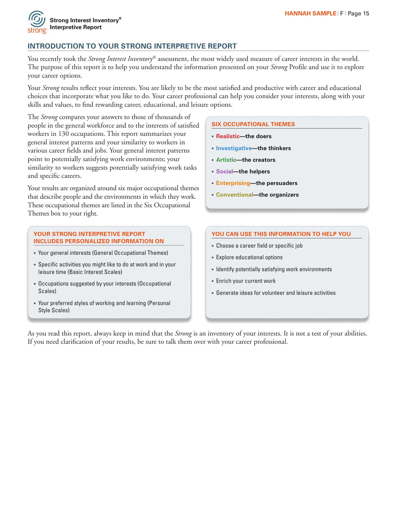

# **INTRODUCTION TO YOUR STRONG INTERPRETIVE REPORT**

You recently took the *Strong Interest Inventory*® assessment, the most widely used measure of career interests in the world. The purpose of this report is to help you understand the information presented on your *Strong* Profile and use it to explore your career options.

Your *Strong* results reflect your interests. You are likely to be the most satisfied and productive with career and educational choices that incorporate what you like to do. Your career professional can help you consider your interests, along with your skills and values, to find rewarding career, educational, and leisure options.

The *Strong* compares your answers to those of thousands of people in the general workforce and to the interests of satisfied workers in 130 occupations. This report summarizes your general interest patterns and your similarity to workers in various career fields and jobs. Your general interest patterns point to potentially satisfying work environments; your similarity to workers suggests potentially satisfying work tasks and specific careers.

Your results are organized around six major occupational themes that describe people and the environments in which they work. These occupational themes are listed in the Six Occupational Themes box to your right.

### **YOUR STRONG INTERPRETIVE REPORT INCLUDES PERSONALIZED INFORMATION ON**

- **•** Your general interests (General Occupational Themes)
- **•** Specific activities you might like to do at work and in your leisure time (Basic Interest Scales)
- **•** Occupations suggested by your interests (Occupational Scales)
- **•** Your preferred styles of working and learning (Personal Style Scales)

# **SIX OCCUPATIONAL THEMES**

- **• Realistic—the doers**
- **• Investigative—the thinkers**
- **• Artistic—the creators**
- **• Social—the helpers**
- **• Enterprising—the persuaders**
- **• Conventional—the organizers**

# **YOU CAN USE THIS INFORMATION TO HELP YOU**

- **•** Choose a career field or specific job
- **•** Explore educational options
- **•** Identify potentially satisfying work environments
- **•** Enrich your current work
- **•** Generate ideas for volunteer and leisure activities

As you read this report, always keep in mind that the *Strong* is an inventory of your interests. It is not a test of your abilities. If you need clarification of your results, be sure to talk them over with your career professional.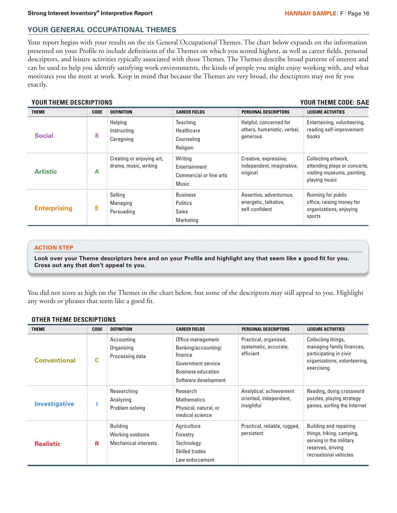# **YOUR GENERAL OCCUPATIONAL THEMES**

Your report begins with your results on the six General Occupational Themes. The chart below expands on the information presented on your Profile to include definitions of the Themes on which you scored highest, as well as career fields, personal descriptors, and leisure activities typically associated with those Themes. The Themes describe broad patterns of interest and can be used to help you identify satisfying work environments, the kinds of people you might enjoy working with, and what motivates you the most at work. Keep in mind that because the Themes are very broad, the descriptors may not fit you exactly.

# **YOUR THEME DESCRIPTIONS YOUR THEME CODE:**

| <b>THEME</b>        | <b>CODE</b> | <b>DEFINITION</b>                                  | <b>CAREER FIELDS</b>                                            | <b>PERSONAL DESCRIPTORS</b>                                        | <b>LEISURE ACTIVITIES</b>                                                                           |
|---------------------|-------------|----------------------------------------------------|-----------------------------------------------------------------|--------------------------------------------------------------------|-----------------------------------------------------------------------------------------------------|
| <b>Social</b>       | S           | Helping<br>Instructing<br>Caregiving               | Teaching<br>Healthcare<br>Counseling<br>Religion                | Helpful, concerned for<br>others, humanistic, verbal,<br>generous  | Entertaining, volunteering,<br>reading self-improvement<br>books                                    |
| <b>Artistic</b>     | А           | Creating or enjoying art,<br>drama, music, writing | Writing<br>Entertainment<br>Commercial or fine arts<br>Music    | Creative, expressive,<br>independent, imaginative,<br>original     | Collecting artwork,<br>attending plays or concerts,<br>visiting museums, painting,<br>playing music |
| <b>Enterprising</b> |             | Selling<br>Managing<br>Persuading                  | <b>Business</b><br><b>Politics</b><br><b>Sales</b><br>Marketing | Assertive, adventurous,<br>energetic, talkative,<br>self-confident | Running for public<br>office, raising money for<br>organizations, enjoying<br>sports                |

# **ACTION STEP**

**Look over your Theme descriptors here and on your Profile and highlight any that seem like a good fit for you. Cross out any that don't appeal to you.**

You did not score as high on the Themes in the chart below, but some of the descriptors may still appeal to you. Highlight any words or phrases that seem like a good fit.

# **OTHER THEME DESCRIPTIONS**

| <b>THEME</b>         | <b>CODE</b> | <b>DEFINITION</b>                                                  | <b>CAREER FIELDS</b>                                                                                                           | <b>PERSONAL DESCRIPTORS</b>                                     | <b>LEISURE ACTIVITIES</b>                                                                                                   |
|----------------------|-------------|--------------------------------------------------------------------|--------------------------------------------------------------------------------------------------------------------------------|-----------------------------------------------------------------|-----------------------------------------------------------------------------------------------------------------------------|
| <b>Conventional</b>  | C           | Accounting<br>Organizing<br>Processing data                        | Office management<br>Banking/accounting/<br>finance<br>Government service<br><b>Business education</b><br>Software development | Practical, organized,<br>systematic, accurate,<br>efficient     | Collecting things,<br>managing family finances,<br>participating in civic<br>organizations, volunteering,<br>exercising     |
| <b>Investigative</b> |             | Researching<br>Analyzing<br>Problem solving                        | Research<br><b>Mathematics</b><br>Physical, natural, or<br>medical science                                                     | Analytical, achievement<br>oriented, independent,<br>insightful | Reading, doing crossword<br>puzzles, playing strategy<br>games, surfing the Internet                                        |
| <b>Realistic</b>     | R           | <b>Building</b><br>Working outdoors<br><b>Mechanical interests</b> | Agriculture<br>Forestry<br>Technology<br>Skilled trades<br>Law enforcement                                                     | Practical, reliable, rugged,<br>persistent                      | Building and repairing<br>things, hiking, camping,<br>serving in the military<br>reserves, driving<br>recreational vehicles |

# **YOUR THEME CODE: SAE**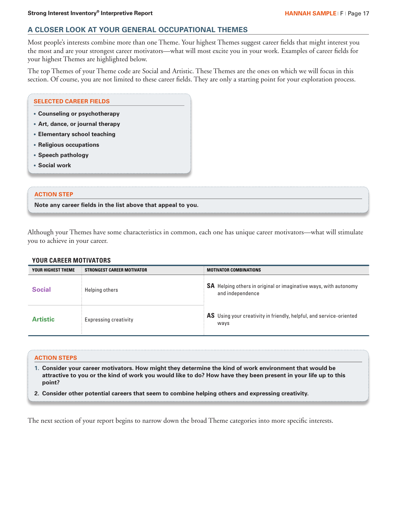# **A CLOSER LOOK AT YOUR GENERAL OCCUPATIONAL THEMES**

Most people's interests combine more than one Theme. Your highest Themes suggest career fields that might interest you the most and are your strongest career motivators—what will most excite you in your work. Examples of career fields for your highest Themes are highlighted below.

The top Themes of your Theme code are Social and Artistic. These Themes are the ones on which we will focus in this section. Of course, you are not limited to these career fields. They are only a starting point for your exploration process.

## **SELECTED CAREER FIELDS**

- **• Counseling or psychotherapy**
- **• Art, dance, or journal therapy**
- **• Elementary school teaching**
- **• Religious occupations**
- **• Speech pathology**
- **• Social work**

# **ACTION STEP**

**Note any career fields in the list above that appeal to you.**

Although your Themes have some characteristics in common, each one has unique career motivators—what will stimulate you to achieve in your career.

# **YOUR CAREER MOTIVATORS**

| YOUR HIGHEST THEME | STRONGEST CAREER MOTIVATOR   | <b>MOTIVATOR COMBINATIONS</b>                                                               |
|--------------------|------------------------------|---------------------------------------------------------------------------------------------|
| <b>Social</b>      | Helping others               | <b>SA</b> Helping others in original or imaginative ways, with autonomy<br>and independence |
| <b>Artistic</b>    | <b>Expressing creativity</b> | $\frac{1}{2}$ AS Using your creativity in friendly, helpful, and service-oriented<br>ways   |

### **ACTION STEPS**

- **1. Consider your career motivators. How might they determine the kind of work environment that would be attractive to you or the kind of work you would like to do? How have they been present in your life up to this point?**
- **2. Consider other potential careers that seem to combine helping others and expressing creativity.**

The next section of your report begins to narrow down the broad Theme categories into more specific interests.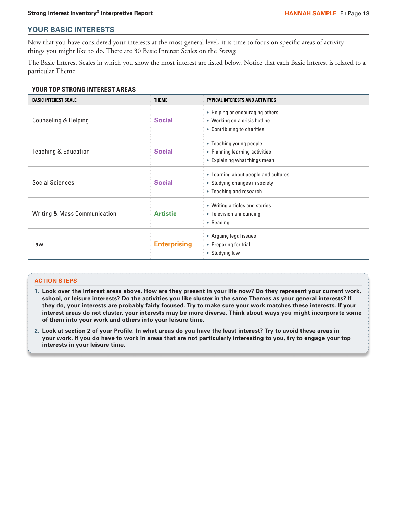# **YOUR BASIC INTERESTS**

Now that you have considered your interests at the most general level, it is time to focus on specific areas of activity things you might like to do. There are 30 Basic Interest Scales on the *Strong.*

The Basic Interest Scales in which you show the most interest are listed below. Notice that each Basic Interest is related to a particular Theme.

# **YOUR TOP STRONG INTEREST AREAS**

| <b>BASIC INTEREST SCALE</b>             | <b>THEME</b>        | <b>TYPICAL INTERESTS AND ACTIVITIES</b>                                                          |
|-----------------------------------------|---------------------|--------------------------------------------------------------------------------------------------|
| <b>Counseling &amp; Helping</b>         | <b>Social</b>       | • Helping or encouraging others<br>• Working on a crisis hotline<br>• Contributing to charities  |
| <b>Teaching &amp; Education</b>         | <b>Social</b>       | • Teaching young people<br>• Planning learning activities<br>• Explaining what things mean       |
| <b>Social Sciences</b>                  | <b>Social</b>       | • Learning about people and cultures<br>• Studying changes in society<br>• Teaching and research |
| <b>Writing &amp; Mass Communication</b> | <b>Artistic</b>     | • Writing articles and stories<br>• Television announcing<br>• Reading                           |
| Law                                     | <b>Enterprising</b> | • Arguing legal issues<br>• Preparing for trial<br>• Studying law                                |

### **ACTION STEPS**

- **1. Look over the interest areas above. How are they present in your life now? Do they represent your current work, school, or leisure interests? Do the activities you like cluster in the same Themes as your general interests? If they do, your interests are probably fairly focused. Try to make sure your work matches these interests. If your interest areas do not cluster, your interests may be more diverse. Think about ways you might incorporate some of them into your work and others into your leisure time.**
- **2. Look at section 2 of your Profile. In what areas do you have the least interest? Try to avoid these areas in your work. If you do have to work in areas that are not particularly interesting to you, try to engage your top interests in your leisure time.**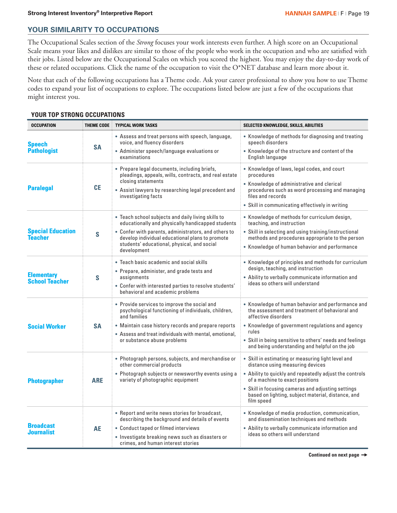# **YOUR SIMILARITY TO OCCUPATIONS**

The Occupational Scales section of the *Strong* focuses your work interests even further. A high score on an Occupational Scale means your likes and dislikes are similar to those of the people who work in the occupation and who are satisfied with their jobs. Listed below are the Occupational Scales on which you scored the highest. You may enjoy the day-to-day work of these or related occupations. Click the name of the occupation to visit the O\*NET database and learn more about it.

Note that each of the following occupations has a Theme code. Ask your career professional to show you how to use Theme codes to expand your list of occupations to explore. The occupations listed below are just a few of the occupations that might interest you.

# **YOUR TOP STRONG OCCUPATIONS**

| <b>OCCUPATION</b>                          | <b>THEME CODE</b> | <b>TYPICAL WORK TASKS</b>                                                                                                                                                                                                                                                        | SELECTED KNOWLEDGE, SKILLS, ABILITIES                                                                                                                                                                                                                                                                          |
|--------------------------------------------|-------------------|----------------------------------------------------------------------------------------------------------------------------------------------------------------------------------------------------------------------------------------------------------------------------------|----------------------------------------------------------------------------------------------------------------------------------------------------------------------------------------------------------------------------------------------------------------------------------------------------------------|
| <b>Speech</b><br><b>Pathologist</b>        | <b>SA</b>         | • Assess and treat persons with speech, language,<br>voice, and fluency disorders<br>• Administer speech/language evaluations or<br>examinations                                                                                                                                 | • Knowledge of methods for diagnosing and treating<br>speech disorders<br>• Knowledge of the structure and content of the<br>English language                                                                                                                                                                  |
| <b>Paralegal</b>                           | <b>CE</b>         | • Prepare legal documents, including briefs,<br>pleadings, appeals, wills, contracts, and real estate<br>closing statements<br>• Assist lawyers by researching legal precedent and<br>investigating facts                                                                        | • Knowledge of laws, legal codes, and court<br>procedures<br>• Knowledge of administrative and clerical<br>procedures such as word processing and managing<br>files and records<br>• Skill in communicating effectively in writing                                                                             |
| <b>Special Education</b><br><b>Teacher</b> | S                 | . Teach school subjects and daily living skills to<br>educationally and physically handicapped students<br>• Confer with parents, administrators, and others to<br>develop individual educational plans to promote<br>students' educational, physical, and social<br>development | • Knowledge of methods for curriculum design,<br>teaching, and instruction<br>• Skill in selecting and using training/instructional<br>methods and procedures appropriate to the person<br>• Knowledge of human behavior and performance                                                                       |
| <b>Elementary</b><br><b>School Teacher</b> | S                 | • Teach basic academic and social skills<br>• Prepare, administer, and grade tests and<br>assignments<br>• Confer with interested parties to resolve students'<br>behavioral and academic problems                                                                               | • Knowledge of principles and methods for curriculum<br>design, teaching, and instruction<br>• Ability to verbally communicate information and<br>ideas so others will understand                                                                                                                              |
| <b>Social Worker</b>                       | <b>SA</b>         | • Provide services to improve the social and<br>psychological functioning of individuals, children,<br>and families<br>• Maintain case history records and prepare reports<br>• Assess and treat individuals with mental, emotional,<br>or substance abuse problems              | • Knowledge of human behavior and performance and<br>the assessment and treatment of behavioral and<br>affective disorders<br>• Knowledge of government regulations and agency<br>rules<br>• Skill in being sensitive to others' needs and feelings<br>and being understanding and helpful on the job          |
| <b>Photographer</b>                        | <b>ARE</b>        | • Photograph persons, subjects, and merchandise or<br>other commercial products<br>• Photograph subjects or newsworthy events using a<br>variety of photographic equipment                                                                                                       | • Skill in estimating or measuring light level and<br>distance using measuring devices<br>• Ability to quickly and repeatedly adjust the controls<br>of a machine to exact positions<br>• Skill in focusing cameras and adjusting settings<br>based on lighting, subject material, distance, and<br>film speed |
| <b>Broadcast</b><br>Journalist             | AE                | • Report and write news stories for broadcast,<br>describing the background and details of events<br>• Conduct taped or filmed interviews<br>· Investigate breaking news such as disasters or<br>crimes, and human interest stories                                              | • Knowledge of media production, communication,<br>and dissemination techniques and methods<br>• Ability to verbally communicate information and<br>ideas so others will understand                                                                                                                            |

**Continued on next page**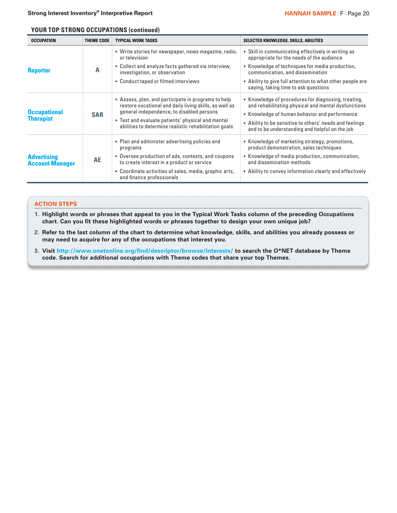# **YOUR TOP STRONG OCCUPATIONS (continued)**

| <b>OCCUPATION</b>                            | THEME CODE | <b>TYPICAL WORK TASKS</b>                                                                                                                                                                                                                                                | SELECTED KNOWLEDGE, SKILLS, ABILITIES                                                                                                                                                                                                                                    |
|----------------------------------------------|------------|--------------------------------------------------------------------------------------------------------------------------------------------------------------------------------------------------------------------------------------------------------------------------|--------------------------------------------------------------------------------------------------------------------------------------------------------------------------------------------------------------------------------------------------------------------------|
|                                              |            | • Write stories for newspaper, news magazine, radio,<br>or television                                                                                                                                                                                                    | • Skill in communicating effectively in writing as<br>appropriate for the needs of the audience                                                                                                                                                                          |
| <b>Reporter</b>                              | A          | • Collect and analyze facts gathered via interview,<br>investigation, or observation                                                                                                                                                                                     | • Knowledge of techniques for media production,<br>communication, and dissemination                                                                                                                                                                                      |
|                                              |            | • Conduct taped or filmed interviews                                                                                                                                                                                                                                     | • Ability to give full attention to what other people are<br>saying, taking time to ask questions                                                                                                                                                                        |
| <b>Occupational</b><br><b>Therapist</b>      | <b>SAR</b> | • Assess, plan, and participate in programs to help<br>restore vocational and daily living skills, as well as<br>general independence, to disabled persons<br>• Test and evaluate patients' physical and mental<br>abilities to determine realistic rehabilitation goals | • Knowledge of procedures for diagnosing, treating,<br>and rehabilitating physical and mental dysfunctions<br>• Knowledge of human behavior and performance<br>• Ability to be sensitive to others' needs and feelings<br>and to be understanding and helpful on the job |
|                                              |            | • Plan and administer advertising policies and<br>programs                                                                                                                                                                                                               | • Knowledge of marketing strategy, promotions,<br>product demonstration, sales techniques                                                                                                                                                                                |
| <b>Advertising</b><br><b>Account Manager</b> | <b>AE</b>  | Oversee production of ads, contests, and coupons<br>to create interest in a product or service                                                                                                                                                                           | • Knowledge of media production, communication,<br>and dissemination methods                                                                                                                                                                                             |
|                                              |            | • Coordinate activities of sales, media, graphic arts,<br>and finance professionals                                                                                                                                                                                      | • Ability to convey information clearly and effectively                                                                                                                                                                                                                  |

## **ACTION STEPS**

**1. Highlight words or phrases that appeal to you in the Typical Work Tasks column of the preceding Occupations chart. Can you fit these highlighted words or phrases together to design your own unique job?**

- **2. Refer to the last column of the chart to determine what knowledge, skills, and abilities you already possess or may need to acquire for any of the occupations that interest you.**
- **3. Visit http://www.onetonline.org/find/descriptor/browse/Interests/ to search the O\*NET database by Theme code. Search for additional occupations with Theme codes that share your top Themes.**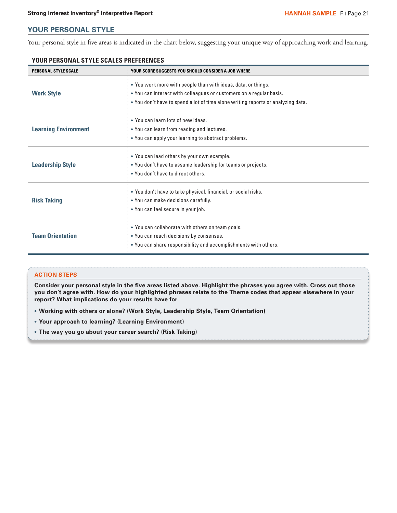# **YOUR PERSONAL STYLE**

Your personal style in five areas is indicated in the chart below, suggesting your unique way of approaching work and learning.

| <b>PERSONAL STYLE SCALE</b> | YOUR SCORE SUGGESTS YOU SHOULD CONSIDER A JOB WHERE                              |
|-----------------------------|----------------------------------------------------------------------------------|
|                             | • You work more with people than with ideas, data, or things.                    |
| <b>Work Style</b>           | • You can interact with colleagues or customers on a regular basis.              |
|                             | . You don't have to spend a lot of time alone writing reports or analyzing data. |
|                             | . You can learn lots of new ideas.                                               |
| <b>Learning Environment</b> | • You can learn from reading and lectures.                                       |
|                             | • You can apply your learning to abstract problems.                              |
|                             | • You can lead others by your own example.                                       |
| <b>Leadership Style</b>     | • You don't have to assume leadership for teams or projects.                     |
|                             | . You don't have to direct others.                                               |
|                             | . You don't have to take physical, financial, or social risks.                   |
| <b>Risk Taking</b>          | . You can make decisions carefully.                                              |
|                             | • You can feel secure in your job.                                               |
|                             | . You can collaborate with others on team goals.                                 |
| <b>Team Orientation</b>     | • You can reach decisions by consensus.                                          |
|                             | • You can share responsibility and accomplishments with others.                  |

# **YOUR PERSONAL STYLE SCALES PREFERENCES**

### **ACTION STEPS**

**Consider your personal style in the five areas listed above. Highlight the phrases you agree with. Cross out those you don't agree with. How do your highlighted phrases relate to the Theme codes that appear elsewhere in your report? What implications do your results have for**

- **• Working with others or alone? (Work Style, Leadership Style, Team Orientation)**
- **• Your approach to learning? (Learning Environment)**
- **• The way you go about your career search? (Risk Taking)**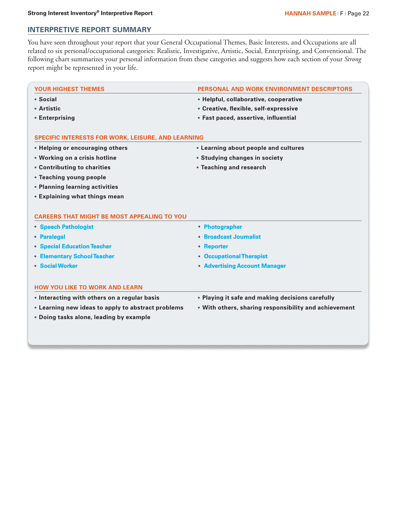# **INTERPRETIVE REPORT SUMMARY**

You have seen throughout your report that your General Occupational Themes, Basic Interests, and Occupations are all related to six personal/occupational categories: Realistic, Investigative, Artistic, Social, Enterprising, and Conventional. The following chart summarizes your personal information from these categories and suggests how each section of your *Strong* report might be represented in your life.

| <b>YOUR HIGHEST THEMES</b>                                                 | <b>PERSONAL AND WORK ENVIRONMENT DESCRIPTORS</b>      |
|----------------------------------------------------------------------------|-------------------------------------------------------|
| • Social                                                                   | • Helpful, collaborative, cooperative                 |
| • Artistic                                                                 | • Creative, flexible, self-expressive                 |
| • Enterprising                                                             | • Fast paced, assertive, influential                  |
| SPECIFIC INTERESTS FOR WORK, LEISURE, AND LEARNING                         |                                                       |
| • Helping or encouraging others                                            | • Learning about people and cultures                  |
| • Working on a crisis hotline                                              | • Studying changes in society                         |
| • Contributing to charities                                                | • Teaching and research                               |
| • Teaching young people                                                    |                                                       |
|                                                                            |                                                       |
| • Planning learning activities                                             |                                                       |
| • Explaining what things mean                                              |                                                       |
| <b>CAREERS THAT MIGHT BE MOST APPEALING TO YOU</b><br>• Speech Pathologist | • Photographer                                        |
| • Paralegal                                                                | • Broadcast Journalist                                |
| • Special Education Teacher                                                | • Reporter                                            |
| • Elementary School Teacher                                                | • Occupational Therapist                              |
| • Social Worker                                                            | • Advertising Account Manager                         |
| <b>HOW YOU LIKE TO WORK AND LEARN</b>                                      |                                                       |
| • Interacting with others on a regular basis                               | • Playing it safe and making decisions carefully      |
| • Learning new ideas to apply to abstract problems                         | . With others, sharing responsibility and achievement |